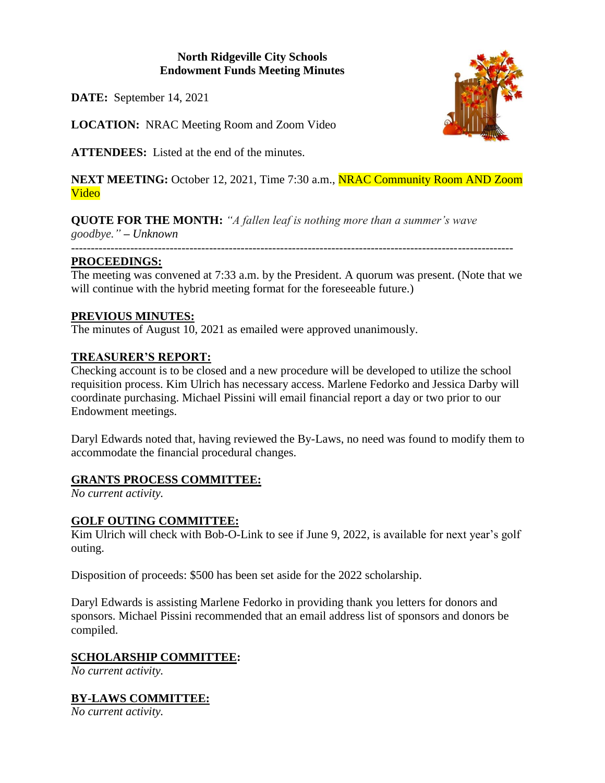# **North Ridgeville City Schools Endowment Funds Meeting Minutes**

**DATE:** September 14, 2021

**LOCATION:** NRAC Meeting Room and Zoom Video

**ATTENDEES:** Listed at the end of the minutes.

**NEXT MEETING:** October 12, 2021, Time 7:30 a.m., **NRAC Community Room AND Zoom** Video

**QUOTE FOR THE MONTH:** *"A fallen leaf is nothing more than a summer's wave goodbye." – Unknown ----------------------------------------------------------------------------------------------------------------*

### **PROCEEDINGS:**

The meeting was convened at 7:33 a.m. by the President. A quorum was present. (Note that we will continue with the hybrid meeting format for the foreseeable future.)

### **PREVIOUS MINUTES:**

The minutes of August 10, 2021 as emailed were approved unanimously.

### **TREASURER'S REPORT:**

Checking account is to be closed and a new procedure will be developed to utilize the school requisition process. Kim Ulrich has necessary access. Marlene Fedorko and Jessica Darby will coordinate purchasing. Michael Pissini will email financial report a day or two prior to our Endowment meetings.

Daryl Edwards noted that, having reviewed the By-Laws, no need was found to modify them to accommodate the financial procedural changes.

### **GRANTS PROCESS COMMITTEE:**

*No current activity.*

### **GOLF OUTING COMMITTEE:**

Kim Ulrich will check with Bob-O-Link to see if June 9, 2022, is available for next year's golf outing.

Disposition of proceeds: \$500 has been set aside for the 2022 scholarship.

Daryl Edwards is assisting Marlene Fedorko in providing thank you letters for donors and sponsors. Michael Pissini recommended that an email address list of sponsors and donors be compiled.

### **SCHOLARSHIP COMMITTEE:**

*No current activity.*

# **BY-LAWS COMMITTEE:**

*No current activity.*

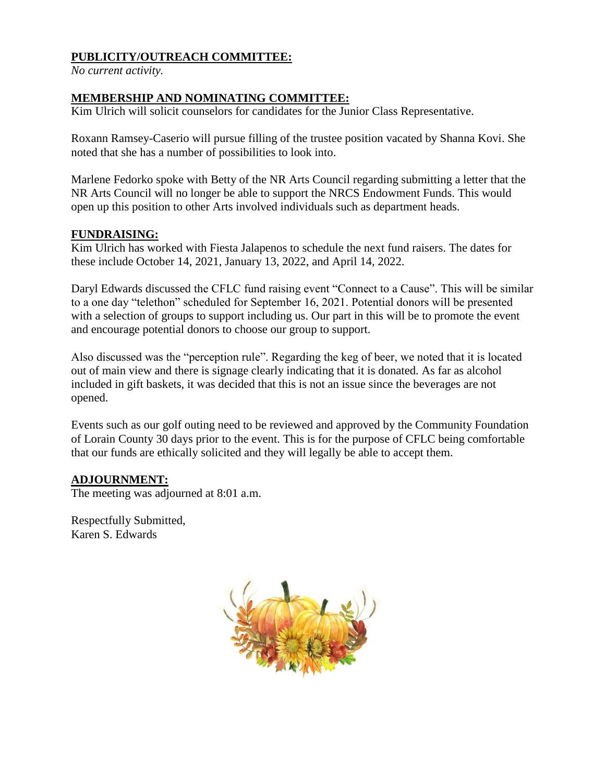## **PUBLICITY/OUTREACH COMMITTEE:**

*No current activity.*

### **MEMBERSHIP AND NOMINATING COMMITTEE:**

Kim Ulrich will solicit counselors for candidates for the Junior Class Representative.

Roxann Ramsey-Caserio will pursue filling of the trustee position vacated by Shanna Kovi. She noted that she has a number of possibilities to look into.

Marlene Fedorko spoke with Betty of the NR Arts Council regarding submitting a letter that the NR Arts Council will no longer be able to support the NRCS Endowment Funds. This would open up this position to other Arts involved individuals such as department heads.

#### **FUNDRAISING:**

Kim Ulrich has worked with Fiesta Jalapenos to schedule the next fund raisers. The dates for these include October 14, 2021, January 13, 2022, and April 14, 2022.

Daryl Edwards discussed the CFLC fund raising event "Connect to a Cause". This will be similar to a one day "telethon" scheduled for September 16, 2021. Potential donors will be presented with a selection of groups to support including us. Our part in this will be to promote the event and encourage potential donors to choose our group to support.

Also discussed was the "perception rule". Regarding the keg of beer, we noted that it is located out of main view and there is signage clearly indicating that it is donated. As far as alcohol included in gift baskets, it was decided that this is not an issue since the beverages are not opened.

Events such as our golf outing need to be reviewed and approved by the Community Foundation of Lorain County 30 days prior to the event. This is for the purpose of CFLC being comfortable that our funds are ethically solicited and they will legally be able to accept them.

### **ADJOURNMENT:**

The meeting was adjourned at 8:01 a.m.

Respectfully Submitted, Karen S. Edwards